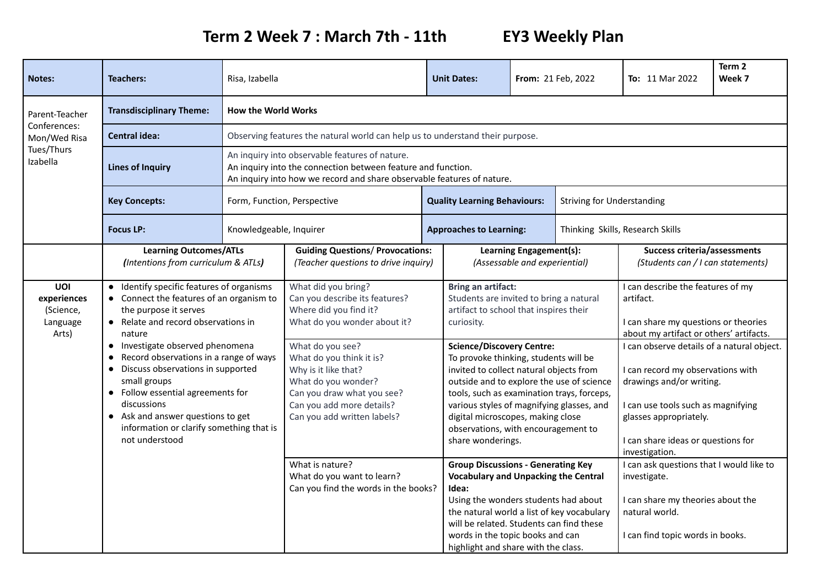## **Term 2 Week 7 : March 7th - 11th EY3 Weekly Plan**

| <b>Notes:</b>                                                            | <b>Teachers:</b>                                                                                                                                                                                                                                                                                                                                                                                                                                          | Risa, Izabella                                                                |                                                                                                                                                                                                                                                                                                                                                                                                   |  | <b>Unit Dates:</b>                                                                                                                                                                                                                                                                                                                                                                                                                                                                                                                                                                                                                                                                                                                                                       | From: 21 Feb, 2022 |                                                                          | <b>To:</b> 11 Mar 2022                                                                                                                                                                                                                                                                                                                                                                                                                                                                                                          | Term 2<br>Week 7 |  |
|--------------------------------------------------------------------------|-----------------------------------------------------------------------------------------------------------------------------------------------------------------------------------------------------------------------------------------------------------------------------------------------------------------------------------------------------------------------------------------------------------------------------------------------------------|-------------------------------------------------------------------------------|---------------------------------------------------------------------------------------------------------------------------------------------------------------------------------------------------------------------------------------------------------------------------------------------------------------------------------------------------------------------------------------------------|--|--------------------------------------------------------------------------------------------------------------------------------------------------------------------------------------------------------------------------------------------------------------------------------------------------------------------------------------------------------------------------------------------------------------------------------------------------------------------------------------------------------------------------------------------------------------------------------------------------------------------------------------------------------------------------------------------------------------------------------------------------------------------------|--------------------|--------------------------------------------------------------------------|---------------------------------------------------------------------------------------------------------------------------------------------------------------------------------------------------------------------------------------------------------------------------------------------------------------------------------------------------------------------------------------------------------------------------------------------------------------------------------------------------------------------------------|------------------|--|
| Parent-Teacher<br>Conferences:<br>Mon/Wed Risa<br>Tues/Thurs<br>Izabella | <b>Transdisciplinary Theme:</b>                                                                                                                                                                                                                                                                                                                                                                                                                           | <b>How the World Works</b>                                                    |                                                                                                                                                                                                                                                                                                                                                                                                   |  |                                                                                                                                                                                                                                                                                                                                                                                                                                                                                                                                                                                                                                                                                                                                                                          |                    |                                                                          |                                                                                                                                                                                                                                                                                                                                                                                                                                                                                                                                 |                  |  |
|                                                                          | <b>Central idea:</b>                                                                                                                                                                                                                                                                                                                                                                                                                                      | Observing features the natural world can help us to understand their purpose. |                                                                                                                                                                                                                                                                                                                                                                                                   |  |                                                                                                                                                                                                                                                                                                                                                                                                                                                                                                                                                                                                                                                                                                                                                                          |                    |                                                                          |                                                                                                                                                                                                                                                                                                                                                                                                                                                                                                                                 |                  |  |
|                                                                          | <b>Lines of Inquiry</b>                                                                                                                                                                                                                                                                                                                                                                                                                                   |                                                                               | An inquiry into observable features of nature.<br>An inquiry into the connection between feature and function.<br>An inquiry into how we record and share observable features of nature.                                                                                                                                                                                                          |  |                                                                                                                                                                                                                                                                                                                                                                                                                                                                                                                                                                                                                                                                                                                                                                          |                    |                                                                          |                                                                                                                                                                                                                                                                                                                                                                                                                                                                                                                                 |                  |  |
|                                                                          | <b>Key Concepts:</b>                                                                                                                                                                                                                                                                                                                                                                                                                                      |                                                                               | Form, Function, Perspective                                                                                                                                                                                                                                                                                                                                                                       |  | <b>Quality Learning Behaviours:</b>                                                                                                                                                                                                                                                                                                                                                                                                                                                                                                                                                                                                                                                                                                                                      |                    | <b>Striving for Understanding</b>                                        |                                                                                                                                                                                                                                                                                                                                                                                                                                                                                                                                 |                  |  |
|                                                                          | <b>Focus LP:</b><br>Knowledgeable, Inquirer                                                                                                                                                                                                                                                                                                                                                                                                               |                                                                               |                                                                                                                                                                                                                                                                                                                                                                                                   |  | <b>Approaches to Learning:</b>                                                                                                                                                                                                                                                                                                                                                                                                                                                                                                                                                                                                                                                                                                                                           |                    |                                                                          | Thinking Skills, Research Skills                                                                                                                                                                                                                                                                                                                                                                                                                                                                                                |                  |  |
|                                                                          | <b>Learning Outcomes/ATLs</b><br>(Intentions from curriculum & ATLs)                                                                                                                                                                                                                                                                                                                                                                                      |                                                                               | <b>Guiding Questions/ Provocations:</b><br>(Teacher questions to drive inquiry)                                                                                                                                                                                                                                                                                                                   |  | Learning Engagement(s):<br>(Assessable and experiential)                                                                                                                                                                                                                                                                                                                                                                                                                                                                                                                                                                                                                                                                                                                 |                    | <b>Success criteria/assessments</b><br>(Students can / I can statements) |                                                                                                                                                                                                                                                                                                                                                                                                                                                                                                                                 |                  |  |
| UOI<br>experiences<br>(Science,<br>Language<br>Arts)                     | • Identify specific features of organisms<br>• Connect the features of an organism to<br>the purpose it serves<br>• Relate and record observations in<br>nature<br>• Investigate observed phenomena<br>Record observations in a range of ways<br>Discuss observations in supported<br>small groups<br>• Follow essential agreements for<br>discussions<br>• Ask and answer questions to get<br>information or clarify something that is<br>not understood |                                                                               | What did you bring?<br>Can you describe its features?<br>Where did you find it?<br>What do you wonder about it?<br>What do you see?<br>What do you think it is?<br>Why is it like that?<br>What do you wonder?<br>Can you draw what you see?<br>Can you add more details?<br>Can you add written labels?<br>What is nature?<br>What do you want to learn?<br>Can you find the words in the books? |  | <b>Bring an artifact:</b><br>Students are invited to bring a natural<br>artifact to school that inspires their<br>curiosity.<br><b>Science/Discovery Centre:</b><br>To provoke thinking, students will be<br>invited to collect natural objects from<br>outside and to explore the use of science<br>tools, such as examination trays, forceps,<br>various styles of magnifying glasses, and<br>digital microscopes, making close<br>observations, with encouragement to<br>share wonderings.<br><b>Group Discussions - Generating Key</b><br><b>Vocabulary and Unpacking the Central</b><br>Idea:<br>Using the wonders students had about<br>the natural world a list of key vocabulary<br>will be related. Students can find these<br>words in the topic books and can |                    | highlight and share with the class.                                      | I can describe the features of my<br>artifact.<br>I can share my questions or theories<br>about my artifact or others' artifacts.<br>I can observe details of a natural object.<br>I can record my observations with<br>drawings and/or writing.<br>I can use tools such as magnifying<br>glasses appropriately.<br>I can share ideas or questions for<br>investigation.<br>I can ask questions that I would like to<br>investigate.<br>I can share my theories about the<br>natural world.<br>I can find topic words in books. |                  |  |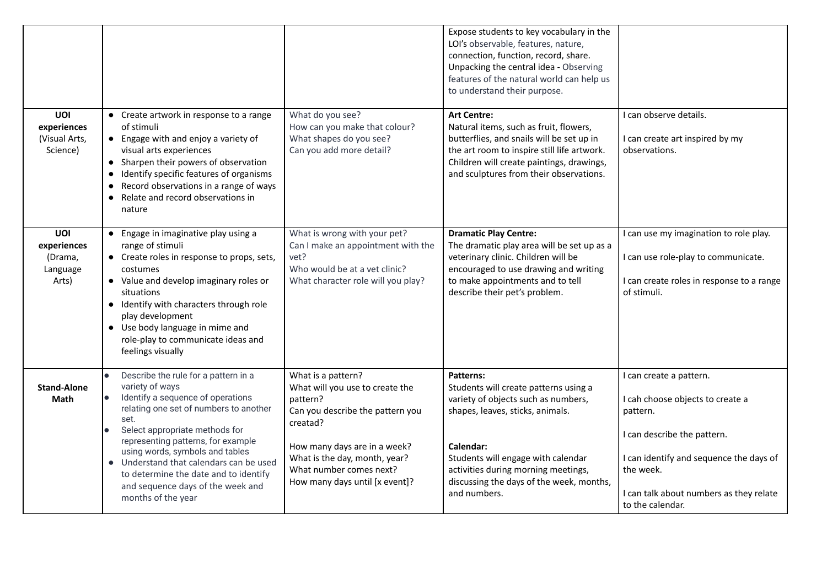|                                                    |                                                                                                                                                                                                                                                                                                                                                                                                                             |                                                                                                                                                                                                                                                 | Expose students to key vocabulary in the<br>LOI's observable, features, nature,<br>connection, function, record, share.<br>Unpacking the central idea - Observing<br>features of the natural world can help us<br>to understand their purpose.                                             |                                                                                                                                                                                                                               |
|----------------------------------------------------|-----------------------------------------------------------------------------------------------------------------------------------------------------------------------------------------------------------------------------------------------------------------------------------------------------------------------------------------------------------------------------------------------------------------------------|-------------------------------------------------------------------------------------------------------------------------------------------------------------------------------------------------------------------------------------------------|--------------------------------------------------------------------------------------------------------------------------------------------------------------------------------------------------------------------------------------------------------------------------------------------|-------------------------------------------------------------------------------------------------------------------------------------------------------------------------------------------------------------------------------|
| UOI<br>experiences<br>(Visual Arts,<br>Science)    | • Create artwork in response to a range<br>of stimuli<br>• Engage with and enjoy a variety of<br>visual arts experiences<br>• Sharpen their powers of observation<br>• Identify specific features of organisms<br>• Record observations in a range of ways<br>• Relate and record observations in<br>nature                                                                                                                 | What do you see?<br>How can you make that colour?<br>What shapes do you see?<br>Can you add more detail?                                                                                                                                        | <b>Art Centre:</b><br>Natural items, such as fruit, flowers,<br>butterflies, and snails will be set up in<br>the art room to inspire still life artwork.<br>Children will create paintings, drawings,<br>and sculptures from their observations.                                           | I can observe details.<br>I can create art inspired by my<br>observations.                                                                                                                                                    |
| UOI<br>experiences<br>(Drama,<br>Language<br>Arts) | • Engage in imaginative play using a<br>range of stimuli<br>• Create roles in response to props, sets,<br>costumes<br>• Value and develop imaginary roles or<br>situations<br>• Identify with characters through role<br>play development<br>• Use body language in mime and<br>role-play to communicate ideas and<br>feelings visually                                                                                     | What is wrong with your pet?<br>Can I make an appointment with the<br>vet?<br>Who would be at a vet clinic?<br>What character role will you play?                                                                                               | <b>Dramatic Play Centre:</b><br>The dramatic play area will be set up as a<br>veterinary clinic. Children will be<br>encouraged to use drawing and writing<br>to make appointments and to tell<br>describe their pet's problem.                                                            | I can use my imagination to role play.<br>I can use role-play to communicate.<br>I can create roles in response to a range<br>of stimuli.                                                                                     |
| <b>Stand-Alone</b><br>Math                         | Describe the rule for a pattern in a<br>$\bullet$<br>variety of ways<br>Identify a sequence of operations<br>l.<br>relating one set of numbers to another<br>set.<br>Select appropriate methods for<br>representing patterns, for example<br>using words, symbols and tables<br>• Understand that calendars can be used<br>to determine the date and to identify<br>and sequence days of the week and<br>months of the year | What is a pattern?<br>What will you use to create the<br>pattern?<br>Can you describe the pattern you<br>creatad?<br>How many days are in a week?<br>What is the day, month, year?<br>What number comes next?<br>How many days until [x event]? | <b>Patterns:</b><br>Students will create patterns using a<br>variety of objects such as numbers,<br>shapes, leaves, sticks, animals.<br>Calendar:<br>Students will engage with calendar<br>activities during morning meetings,<br>discussing the days of the week, months,<br>and numbers. | I can create a pattern.<br>I cah choose objects to create a<br>pattern.<br>I can describe the pattern.<br>I can identify and sequence the days of<br>the week.<br>I can talk about numbers as they relate<br>to the calendar. |